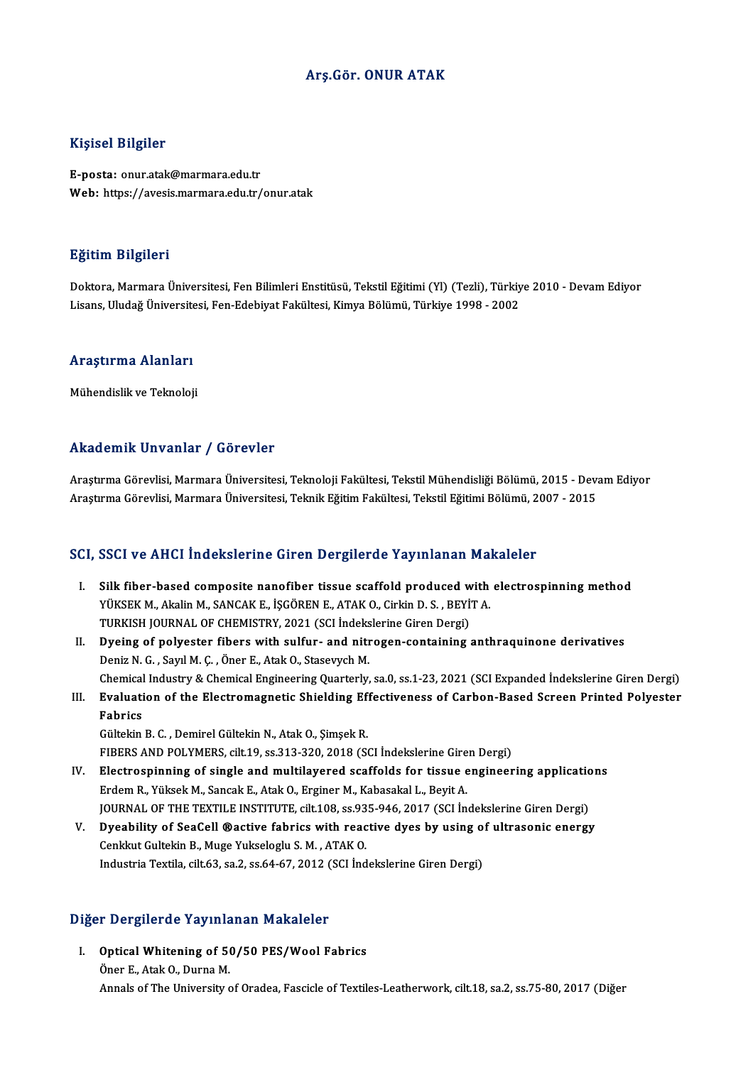#### Arş.Gör. ONUR ATAK

#### Kişisel Bilgiler

E-posta: onur.atak@marmara.edu.tr Web: https://avesis.marmara.edu.tr/onur.atak

#### Eğitim Bilgileri

**Eğitim Bilgileri**<br>Doktora, Marmara Üniversitesi, Fen Bilimleri Enstitüsü, Tekstil Eğitimi (Yl) (Tezli), Türkiye 2010 - Devam Ediyor<br>Lisans Hludağ Üniversitesi, Fen Edebiyat Fakültesi, Kimya Bölümü, Türkiye 1998, 2002 Lisanan Dargaroaa<br>Doktora, Marmara Üniversitesi, Fen Bilimleri Enstitüsü, Tekstil Eğitimi (Yl) (Tezli), Türkiy<br>Lisans, Uludağ Üniversitesi, Fen-Edebiyat Fakültesi, Kimya Bölümü, Türkiye 1998 - 2002

# Lisans, oludag oniversite<br>Araştırma Alanları <mark>Araştırma Alanları</mark><br>Mühendislik ve Teknoloji

# Mühendislik ve Teknoloji<br>Akademik Unvanlar / Görevler

Akademik Unvanlar / Görevler<br>Araştırma Görevlisi, Marmara Üniversitesi, Teknoloji Fakültesi, Tekstil Mühendisliği Bölümü, 2015 - Devam Ediyor<br>Araştırma Görevlisi, Marmara Üniversitesi, Telmik Făitim Fakültesi, Tekstil Eăit Araştırma Görevlisi, Marmara Üniversitesi, Teknoloji Fakültesi, Tekstil Mühendisliği Bölümü, 2015 - Dev:<br>Araştırma Görevlisi, Marmara Üniversitesi, Teknik Eğitim Fakültesi, Tekstil Eğitimi Bölümü, 2007 - 2015<br>Araştırma Gör Araştırma Görevlisi, Marmara Üniversitesi, Teknik Eğitim Fakültesi, Tekstil Eğitimi Bölümü, 2007 - 2015<br>SCI, SSCI ve AHCI İndekslerine Giren Dergilerde Yayınlanan Makaleler

- CI, SSCI ve AHCI İndekslerine Giren Dergilerde Yayınlanan Makaleler<br>I. Silk fiber-based composite nanofiber tissue scaffold produced with electrospinning method<br>VÜKSEK M. Alplin M. SANGAK E. İSCÖPEN E. ATAK O. Girlin D. S. YÜKSEK M., Akalin M., SANCAK E., İŞGÖREN E., ATAK O., Cirkin D. S. , BEYİT A.<br>YÜKSEK M., Akalin M., SANCAK E., İŞGÖREN E., ATAK O., Cirkin D. S. , BEYİT A.<br>TURKISH JOURNAL OF CHEMISTRY 2021 (SCI İndekslerine Ciren Dergi) Silk fiber-based composite nanofiber tissue scaffold produced w<br>YÜKSEK M., Akalin M., SANCAK E., İŞGÖREN E., ATAK O., Cirkin D. S. , BEYİ<br>TURKISH JOURNAL OF CHEMISTRY, 2021 (SCI İndekslerine Giren Dergi)<br>Dyaing of polyasta YÜKSEK M., Akalin M., SANCAK E., İŞGÖREN E., ATAK O., Cirkin D. S., BEYİT A.<br>TURKISH JOURNAL OF CHEMISTRY, 2021 (SCI İndekslerine Giren Dergi)<br>II. Dyeing of polyester fibers with sulfur- and nitrogen-containing anthraquino
- TURKISH JOURNAL OF CHEMISTRY, 2021 (SCI İndeks<br>Dyeing of polyester fibers with sulfur- and nitr<br>Deniz N. G. , Sayıl M. Ç. , Öner E., Atak O., Stasevych M.<br>Chamisal Industry & Chamisal Engineering Quarterly Deniz N. G. , Sayıl M. Ç. , Öner E., Atak O., Stasevych M.<br>Chemical Industry & Chemical Engineering Quarterly, sa.0, ss.1-23, 2021 (SCI Expanded İndekslerine Giren Dergi) Deniz N. G. , Sayıl M. Ç. , Öner E., Atak O., Stasevych M.<br>Chemical Industry & Chemical Engineering Quarterly, sa.0, ss.1-23, 2021 (SCI Expanded İndekslerine Giren Dergi)<br>III. Evaluation of the Electromagnetic Shielding Ef
- Chemical<br><mark>Evaluati</mark><br>Fabrics Evaluation of the Electromagnetic Shielding Ef:<br>Fabrics<br>Gültekin B. C. , Demirel Gültekin N., Atak O., Şimşek R.<br>FIRERS AND POLYMERS, silt 19, ss 313, 329, 2019 (St Fabrics<br>Gültekin B. C. , Demirel Gültekin N., Atak O., Şimşek R.<br>FIBERS AND POLYMERS, cilt.19, ss.313-320, 2018 (SCI İndekslerine Giren Dergi)<br>Flastroarinning of single and multilevaned seeffelds for tissue engineer

- Gültekin B. C. , Demirel Gültekin N., Atak O., Şimşek R.<br>FIBERS AND POLYMERS, cilt.19, ss.313-320, 2018 (SCI İndekslerine Giren Dergi)<br>IV. Electrospinning of single and multilayered scaffolds for tissue engineering applica FIBERS AND POLYMERS, cilt.19, ss.313-320, 2018 (SCI İndekslerine Gire<br>Electrospinning of single and multilayered scaffolds for tissue e<br>Erdem R., Yüksek M., Sancak E., Atak O., Erginer M., Kabasakal L., Beyit A.<br>JOUPMAL OF Electrospinning of single and multilayered scaffolds for tissue engineering application<br>Erdem R., Yüksek M., Sancak E., Atak O., Erginer M., Kabasakal L., Beyit A.<br>JOURNAL OF THE TEXTILE INSTITUTE, cilt.108, ss.935-946, 20 Erdem R., Yüksek M., Sancak E., Atak O., Erginer M., Kabasakal L., Beyit A.<br>JOURNAL OF THE TEXTILE INSTITUTE, cilt.108, ss.935-946, 2017 (SCI İndekslerine Giren Dergi)<br>V. Dyeability of SeaCell ®active fabrics with reactive
- JOURNAL OF THE TEXTILE INSTITUTE, cilt.108, ss.93<br>Dyeability of SeaCell ®active fabrics with reac<br>Cenkkut Gultekin B., Muge Yukseloglu S. M. , ATAK O. V. Dyeability of SeaCell ®active fabrics with reactive dyes by using of ultrasonic energy<br>Cenkkut Gultekin B., Muge Yukseloglu S. M. , ATAK O.<br>Industria Textila, cilt.63, sa.2, ss.64-67, 2012 (SCI İndekslerine Giren Dergi)

# maustria Textila, cilt.65, sa.2, ss.64-67, 2012 (<br>Diğer Dergilerde Yayınlanan Makaleler

Iger Dergilerde Yayınlanan Makaleler<br>I. Optical Whitening of 50/50 PES/Wool Fabrics I. Optical Whitening of 50/50 PES/Wool Fabrics<br>Öner E., Atak O., Durna M. Annals of The University of Oradea, Fascicle of Textiles-Leatherwork, cilt.18, sa.2, ss.75-80, 2017 (Diğer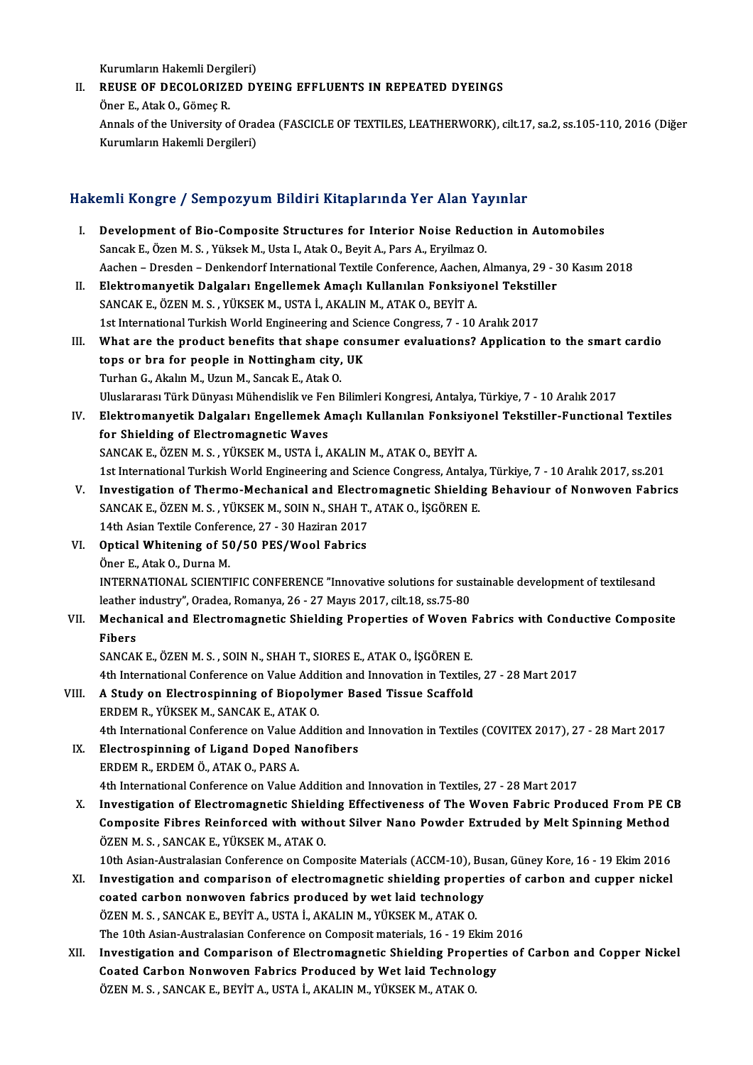Kurumların Hakemli Dergileri)

Kurumların Hakemli Dergileri)<br>II. REUSE OF DECOLORIZED DYEING EFFLUENTS IN REPEATED DYEINGS<br>Öner E. Atrk O. Gömes B Kurumların Hakemli Derg<br>REUSE OF DECOLORIZE<br>Öner E., Atak O., Gömeç R.<br>Annala of the University o REUSE OF DECOLORIZED DYEING EFFLUENTS IN REPEATED DYEINGS<br>Öner E., Atak O., Gömeç R.<br>Annals of the University of Oradea (FASCICLE OF TEXTILES, LEATHERWORK), cilt.17, sa.2, ss.105-110, 2016 (Diğer Öner E., Atak O., Gömeç R.<br>Annals of the University of Orad<br>Kurumların Hakemli Dergileri)

# Kurumların Hakemli Dergileri)<br>Hakemli Kongre / Sempozyum Bildiri Kitaplarında Yer Alan Yayınlar

- I. Development of Bio-Composite Structures for Interior Noise Reduction in Automobiles Sancak E., Özen M.S., Yüksek M., Usta I., Atak O., Beyit A., Pars A., Eryilmaz O. Development of Bio-Composite Structures for Interior Noise Reduction in Automobiles<br>Sancak E., Özen M. S. , Yüksek M., Usta I., Atak O., Beyit A., Pars A., Eryilmaz O.<br>Aachen – Dresden – Denkendorf International Textile Co Sancak E., Özen M. S. , Yüksek M., Usta I., Atak O., Beyit A., Pars A., Eryilmaz O.<br>Aachen – Dresden – Denkendorf International Textile Conference, Aachen, Almanya, 29 - 3<br>II. Elektromanyetik Dalgaları Engellemek Amaçlı Ku
- Aachen Dresden Denkendorf International Textile Conference, Aachen,<br>Elektromanyetik Dalgaları Engellemek Amaçlı Kullanılan Fonksiyo<br>SANCAK E., ÖZEN M. S. , YÜKSEK M., USTA İ., AKALIN M., ATAK O., BEYİT A.<br>1st Internati Elektromanyetik Dalgaları Engellemek Amaçlı Kullanılan Fonksiyonel Tekstill<br>SANCAK E., ÖZEN M. S. , YÜKSEK M., USTA İ., AKALIN M., ATAK O., BEYİT A.<br>1st International Turkish World Engineering and Science Congress, 7 - 10 SANCAK E., ÖZEN M. S. , YÜKSEK M., USTA İ., AKALIN M., ATAK O., BEYİT A.<br>1st International Turkish World Engineering and Science Congress, 7 - 10 Aralık 2017<br>III. What are the product benefits that shape consumer evalu
- 1st International Turkish World Engineering and Science Congress, 7 10 Aralık 2017<br>What are the product benefits that shape consumer evaluations? Applicatio<br>tops or bra for people in Nottingham city, UK<br>Turhan G., Akalın tops or bra for people in Nottingham city, UK UluslararasıTürkDünyasıMühendislikve FenBilimleriKongresi,Antalya,Türkiye,7 -10Aralık2017 Turhan G., Akalın M., Uzun M., Sancak E., Atak O.<br>Uluslararası Türk Dünyası Mühendislik ve Fen Bilimleri Kongresi, Antalya, Türkiye, 7 - 10 Aralık 2017<br>IV. Elektromanyetik Dalgaları Engellemek Amaçlı Kullanılan Fonksiy
- Uluslararası Türk Dünyası Mühendislik ve Fer<br>Elektromanyetik Dalgaları Engellemek A<br>for Shielding of Electromagnetic Waves<br>SANGAKE ÖZEN M.S. VÜKSEK M. USTA İ. A Elektromanyetik Dalgaları Engellemek Amaçlı Kullanılan Fonksiyo<br>for Shielding of Electromagnetic Waves<br>SANCAK E., ÖZEN M. S. , YÜKSEK M., USTA İ., AKALIN M., ATAK O., BEYİT A.<br>1st International Turkish World Engineering an for Shielding of Electromagnetic Waves<br>1st International Turkish World Engineering and Science Congress, Antalya, Türkiye, 7 - 10 Aralık 2017, ss.201<br>1st International Turkish World Engineering and Science Congress, Antaly
- V. Investigation of Thermo-Mechanical and Electromagnetic Shielding Behaviour of Nonwoven Fabrics 1st International Turkish World Engineering and Science Congress, Antalya<br>Investigation of Thermo-Mechanical and Electromagnetic Shieldin<br>SANCAK E., ÖZEN M. S., YÜKSEK M., SOIN N., SHAH T., ATAK O., İŞGÖREN E.<br>14th Asian T Investigation of Thermo-Mechanical and Electr<br>SANCAK E., ÖZEN M. S., YÜKSEK M., SOIN N., SHAH T.,<br>14th Asian Textile Conference, 27 - 30 Haziran 2017<br>Ontical Whitening of 50/50 BES/Wool Febrics SANCAK E., ÖZEN M. S., YÜKSEK M., SOIN N., SHAH T.<br>14th Asian Textile Conference, 27 - 30 Haziran 2017<br>VI. Optical Whitening of 50/50 PES/Wool Fabrics<br>Öner E. Atak O. Durna M

### **14th Asian Textile Confere**<br>**Optical Whitening of 56<br>Öner E., Atak O., Durna M.**<br>INTERNATIONAL SCIENTI Öner E., Atak O., Durna M.<br>INTERNATIONAL SCIENTIFIC CONFERENCE "Innovative solutions for sustainable development of textilesand Öner E., Atak O., Durna M.<br>INTERNATIONAL SCIENTIFIC CONFERENCE "Innovative solutions for sus<br>leather industry", Oradea, Romanya, 26 - 27 Mayıs 2017, cilt.18, ss.75-80<br>Mechanical and Electromacnetic Shielding Properties of INTERNATIONAL SCIENTIFIC CONFERENCE "Innovative solutions for sustainable development of textilesand<br>leather industry", Oradea, Romanya, 26 - 27 Mayıs 2017, cilt.18, ss.75-80<br>VII. Mechanical and Electromagnetic Shielding P

### leather<br>Mechai<br>Fibers<br>SANCAI Mechanical and Electromagnetic Shielding Properties of Woven I<br>Fibers<br>SANCAK E., ÖZEN M. S. , SOIN N., SHAH T., SIORES E., ATAK O., İŞGÖREN E.<br>4th International Conference on Value Addition and Innovation in Teytile Fibers<br>SANCAK E., ÖZEN M. S. , SOIN N., SHAH T., SIORES E., ATAK O., İŞGÖREN E.<br>4th International Conference on Value Addition and Innovation in Textiles, 27 - 28 Mart 2017

VIII. A Study on Electrospinning of Biopolymer Based Tissue Scaffold ERDEMR.,YÜKSEKM.,SANCAKE.,ATAKO. A Study on Electrospinning of Biopolymer Based Tissue Scaffold<br>ERDEM R., YÜKSEK M., SANCAK E., ATAK O.<br>4th International Conference on Value Addition and Innovation in Textiles (COVITEX 2017), 27 - 28 Mart 2017<br>Electrospin

IX. Electrospinning of Ligand Doped Nanofibers<br>ERDEM R., ERDEM Ö., ATAK O., PARS A. 4th International Conference on Value<br>Electrospinning of Ligand Doped N<br>ERDEM R., ERDEM Ö., ATAK O., PARS A. 4th InternationalConference onValueAdditionand InnovationinTextiles,27 -28Mart2017

X. Investigation of Electromagnetic Shielding Effectiveness of The Woven Fabric Produced From PE CB 4th International Conference on Value Addition and Innovation in Textiles, 27 - 28 Mart 2017<br>Investigation of Electromagnetic Shielding Effectiveness of The Woven Fabric Produced From PE C<br>Composite Fibres Reinforced with Investigation of Electromagnetic Shield<br>Composite Fibres Reinforced with with<br>ÖZEN M. S., SANCAK E., YÜKSEK M., ATAK O.<br>10th Asian Australasian Conference on Comu Composite Fibres Reinforced with without Silver Nano Powder Extruded by Melt Spinning Method<br>ÖZEN M. S. , SANCAK E., YÜKSEK M., ATAK O.<br>10th Asian-Australasian Conference on Composite Materials (ACCM-10), Busan, Güney Kore

- ÖZEN M. S., SANCAK E., YÜKSEK M., ATAK O.<br>10th Asian-Australasian Conference on Composite Materials (ACCM-10), Busan, Güney Kore, 16 19 Ekim 2016<br>2016 Investigation and comparison of electromagnetic shielding properties 10th Asian-Australasian Conference on Composite Materials (ACCM-10), Bu<br>Investigation and comparison of electromagnetic shielding propert<br>coated carbon nonwoven fabrics produced by wet laid technology<br>ÖZEN M.S., SANCAKE, P Investigation and comparison of electromagnetic shielding prope<br>coated carbon nonwoven fabrics produced by wet laid technolog<br>ÖZEN M. S. , SANCAK E., BEYİT A., USTA İ., AKALIN M., YÜKSEK M., ATAK O.<br>The 10th Asian Australa coated carbon nonwoven fabrics produced by wet laid technology<br>ÖZEN M. S. , SANCAK E., BEYİT A., USTA İ., AKALIN M., YÜKSEK M., ATAK O.<br>The 10th Asian-Australasian Conference on Composit materials, 16 - 19 Ekim 2016 ÖZEN M. S. , SANCAK E., BEYİT A., USTA İ., AKALIN M., YÜKSEK M., ATAK O.<br>The 10th Asian-Australasian Conference on Composit materials, 16 - 19 Ekim 2016<br>XII. Investigation and Comparison of Electromagnetic Shielding Proper
- The 10th Asian-Australasian Conference on Composit materials, 16 19 Ekim 2<br>Investigation and Comparison of Electromagnetic Shielding Propertic<br>Coated Carbon Nonwoven Fabrics Produced by Wet laid Technology<br>ÖZEN M.S., SAN Investigation and Comparison of Electromagnetic Shielding Prop<br>Coated Carbon Nonwoven Fabrics Produced by Wet laid Technol<br>ÖZEN M. S. , SANCAK E., BEYİT A., USTA İ., AKALIN M., YÜKSEK M., ATAK O.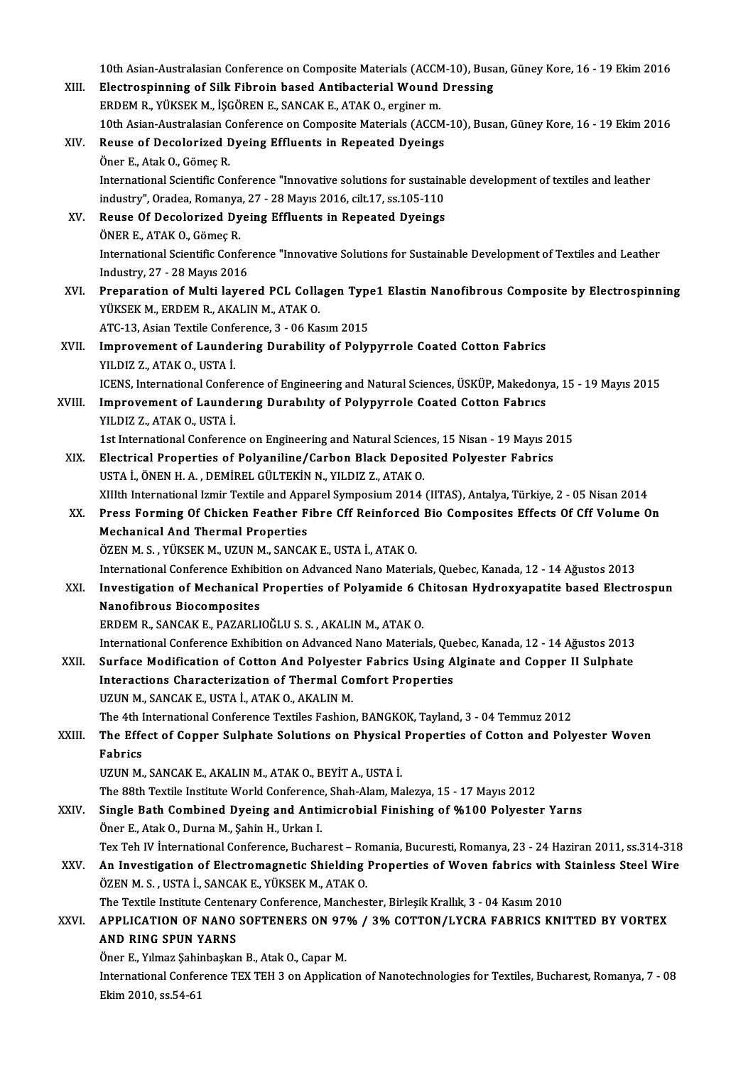10th Asian-Australasian Conference on Composite Materials (ACCM-10), Busan, Güney Kore, 16 - 19 Ekim 2016<br>Flastroeninning of Silk Eihnein based Antibasterial Wound Dressing 10th Asian-Australasian Conference on Composite Materials (ACCM-10), Busa<br>XIII. Electrospinning of Silk Fibroin based Antibacterial Wound Dressing Electrospinning of Silk Fibroin based Antibacterial Wound Dressing<br>ERDEM R., YÜKSEK M., İSGÖREN E., SANCAK E., ATAK O., erginer m. Electrospinning of Silk Fibroin based Antibacterial Wound Dressing<br>ERDEM R., YÜKSEK M., İŞGÖREN E., SANCAK E., ATAK O., erginer m.<br>10th Asian-Australasian Conference on Composite Materials (ACCM-10), Busan, Güney Kore, 16 XIV. Reuse of Decolorized Dyeing Effluents in Repeated Dyeings 10th Asian-Australasian C<br>Reuse of Decolorized I<br>Öner E., Atak O., Gömeç R.<br>International Scientific Co Reuse of Decolorized Dyeing Effluents in Repeated Dyeings<br>Öner E., Atak O., Gömeç R.<br>International Scientific Conference "Innovative solutions for sustainable development of textiles and leather<br>industry", Oradea, Bomanya, Öner E., Atak O., Gömeç R.<br>International Scientific Conference "Innovative solutions for sustaina<br>industry", Oradea, Romanya, 27 - 28 Mayıs 2016, cilt.17, ss.105-110<br>Bouse Of Desplarired Dyoing Effluents in Boneated Dyoing International Scientific Conference "Innovative solutions for sustaina<br>industry", Oradea, Romanya, 27 - 28 Mayıs 2016, cilt.17, ss.105-110<br>XV. Reuse Of Decolorized Dyeing Effluents in Repeated Dyeings<br>ÖNER F. ATAK O. Cömeo industry", Oradea, Romanya<br>Reuse Of Decolorized Dy<br>ÖNER E., ATAK O., Gömeç R.<br>International Scientific Conf Reuse Of Decolorized Dyeing Effluents in Repeated Dyeings<br>ÖNER E., ATAK O., Gömeç R.<br>Industry 27, 28 Mayıs 2016 ÖNER E., ATAK O., Gömeç R.<br>International Scientific Confer<br>Industry, 27 - 28 Mayıs 2016<br>Preperation of Multi lever International Scientific Conference "Innovative Solutions for Sustainable Development of Textiles and Leather<br>Industry, 27 - 28 Mayıs 2016<br>XVI. Preparation of Multi layered PCL Collagen Type1 Elastin Nanofibrous Composite Industry, 27 - 28 Mayıs 2016<br>Preparation of Multi layered PCL Colla<br>YÜKSEK M., ERDEM R., AKALIN M., ATAK O.<br>ATC 12. Asian Taytile Conference 2., 06 Ka Preparation of Multi layered PCL Collagen Type<br>YÜKSEK M., ERDEM R., AKALIN M., ATAK 0.<br>ATC-13, Asian Textile Conference, 3 - 06 Kasım 2015<br>Improvement of Laundering Durchility of Bolyı YÜKSEK M., ERDEM R., AKALIN M., ATAK O.<br>ATC-13, Asian Textile Conference, 3 - 06 Kasım 2015<br>XVII. Improvement of Laundering Durability of Polypyrrole Coated Cotton Fabrics<br>YILDIZ Z., ATAK O., USTA İ. ATC-13, Asian Textile Conference, 3 - 06 Kasım 2015 ICENS, International Conference of Engineering and Natural Sciences, ÜSKÜP, Makedonya, 15 - 19 Mayıs 2015 YILDIZ Z., ATAK O., USTA İ.<br>ICENS, International Conference of Engineering and Natural Sciences, ÜSKÜP, Makedony<br>XVIII. Improvement of Laundering Durability of Polypyrrole Coated Cotton Fabrics<br>VII DIZ Z. ATAK O. USTA İ. **ICENS, International Confer**<br>**Improvement of Launde<br>YILDIZ Z., ATAK O., USTA İ.**<br>1st International Conferen Improvement of Laundering Durability of Polypyrrole Coated Cotton Fabrics<br>YILDIZ Z., ATAK O., USTA İ.<br>1st International Conference on Engineering and Natural Sciences, 15 Nisan - 19 Mayıs 2015<br>Flastrical Proportias of Poly XILDIZ Z., ATAK O., USTA İ.<br>15 International Conference on Engineering and Natural Sciences, 15 Nisan - 19 Mayıs 2015<br>2015 XIX. Electrical Properties of Polyaniline/Carbon Black Deposited Polyester Fabrics USTA İ., ÖNEN H. A., DEMİREL GÜLTEKİN N., YILDIZ Z., ATAK O. Electrical Properties of Polyaniline/Carbon Black Deposited Polyester Fabrics<br>USTA İ., ÖNEN H. A. , DEMİREL GÜLTEKİN N., YILDIZ Z., ATAK O.<br>XIIIth International Izmir Textile and Apparel Symposium 2014 (IITAS), Antalya, Tü USTA İ., ÖNEN H. A. , DEMİREL GÜLTEKİN N., YILDIZ Z., ATAK O.<br>XIIIth International Izmir Textile and Apparel Symposium 2014 (IITAS), Antalya, Türkiye, 2 - 05 Nisan 2014<br>XX. Press Forming Of Chicken Feather Fibre Cff Reinfo XIIIth International Izmir Textile and App<br>Press Forming Of Chicken Feather F<br>Mechanical And Thermal Properties<br>ÖZEN M.S. VÜKSEK M. UZUN M. SANCA XX. Press Forming Of Chicken Feather Fibre Cff Reinforced Bio Composites Effects Of Cff Volume On<br>Mechanical And Thermal Properties<br>ÖZEN M. S., YÜKSEK M., UZUN M., SANCAK E., USTA İ., ATAK O. International Conference Exhibition on Advanced Nano Materials, Quebec, Kanada, 12 - 14 Ağustos 2013 ÖZEN M. S. , YÜKSEK M., UZUN M., SANCAK E., USTA İ., ATAK O.<br>International Conference Exhibition on Advanced Nano Materials, Quebec, Kanada, 12 - 14 Ağustos 2013<br>XXI. Investigation of Mechanical Properties of Polyamide International Conference Exhibi<br>Investigation of Mechanical<br>Nanofibrous Biocomposites<br>EPDEM P. SANGAKE, PAZAPLI Investigation of Mechanical Properties of Polyamide 6 C<br>Nanofibrous Biocomposites<br>ERDEM R., SANCAK E., PAZARLIOĞLU S. S. , AKALIN M., ATAK 0.<br>International Conference Eubibition en Advanced Nepe Meterie Nanofibrous Biocomposites<br>ERDEM R., SANCAK E., PAZARLIOĞLU S. S. , AKALIN M., ATAK O.<br>International Conference Exhibition on Advanced Nano Materials, Quebec, Kanada, 12 - 14 Ağustos 2013 ERDEM R., SANCAK E., PAZARLIOĞLU S. S. , AKALIN M., ATAK O.<br>International Conference Exhibition on Advanced Nano Materials, Quebec, Kanada, 12 - 14 Ağustos 2013<br>XXII. Surface Modification of Cotton And Polyester Fabrics Us International Conference Exhibition on Advanced Nano Materials, Que<br>Surface Modification of Cotton And Polyester Fabrics Using A<br>Interactions Characterization of Thermal Comfort Properties<br>IIZIIN M. SANCAKE USTA LATAKO, AK Surface Modification of Cotton And Polyeste<br>Interactions Characterization of Thermal Co<br>UZUN M., SANCAK E., USTA İ., ATAK O., AKALIN M.<br>The 4th International Conference Teutiles Feshion Interactions Characterization of Thermal Comfort Properties<br>UZUN M., SANCAK E., USTA İ., ATAK O., AKALIN M.<br>The 4th International Conference Textiles Fashion. BANGKOK. Tavland. 3 - 04 Temmuz 2012 UZUN M., SANCAK E., USTA İ., ATAK O., AKALIN M.<br>The 4th International Conference Textiles Fashion, BANGKOK, Tayland, 3 - 04 Temmuz 2012<br>XXIII. The Effect of Copper Sulphate Solutions on Physical Properties of Cotton an The 4th I<br><mark>The Effe</mark><br>Fabrics<br><sup>II7IIN</sup> M The Effect of Copper Sulphate Solutions on Physical<br>Fabrics<br>UZUN M., SANCAK E., AKALIN M., ATAK 0., BEYİT A., USTA İ.<br>The 99th Teytile Institute World Conference Shab Alam Me Fabrics<br>The 88th Textile Institute World Conference, Shah-Alam, Malezya, 15 - 17 Mayıs 2012<br>The 88th Textile Institute World Conference, Shah-Alam, Malezya, 15 - 17 Mayıs 2012 UZUN M., SANCAK E., AKALIN M., ATAK O., BEYİT A., USTA İ.<br>The 88th Textile Institute World Conference, Shah-Alam, Malezya, 15 - 17 Mayıs 2012<br>XXIV. Single Bath Combined Dyeing and Antimicrobial Finishing of %100 Polyester The 88th Textile Institute World Conference<br>Single Bath Combined Dyeing and Anti-<br>Öner E., Atak O., Durna M., Şahin H., Urkan I.<br>Tex Teh IV International Conference Bushe Single Bath Combined Dyeing and Antimicrobial Finishing of %100 Polyester Yarns<br>Öner E., Atak O., Durna M., Şahin H., Urkan I.<br>Tex Teh IV İnternational Conference, Bucharest – Romania, Bucuresti, Romanya, 23 - 24 Haziran 2 Öner E., Atak O., Durna M., Şahin H., Urkan I.<br>Tex Teh IV İnternational Conference, Bucharest – Romania, Bucuresti, Romanya, 23 - 24 Haziran 2011, ss.314-318<br>XXV. An Investigation of Electromagnetic Shielding Properties of Tex Teh IV İnternational Conference, Bucharest – Ro<br>An Investigation of Electromagnetic Shielding<br>ÖZEN M. S. , USTA İ., SANCAK E., YÜKSEK M., ATAK O.<br>The Teytile Institute Contenery Conference Manches An Investigation of Electromagnetic Shielding Properties of Woven fabrics with SCZEN M.S., USTA İ., SANCAK E., YÜKSEK M., ATAK O.<br>The Textile Institute Centenary Conference, Manchester, Birleşik Krallık, 3 - 04 Kasım 2010<br> ÖZEN M. S. , USTA İ., SANCAK E., YÜKSEK M., ATAK O.<br>The Textile Institute Centenary Conference, Manchester, Birleşik Krallık, 3 - 04 Kasım 2010<br>XXVI. APPLICATION OF NANO SOFTENERS ON 97% / 3% COTTON/LYCRA FABRICS KNITT The Textile Institute Centen<br>APPLICATION OF NANO<br>AND RING SPUN YARNS<br>Öner E. Yılmaz Sabinbaskaı APPLICATION OF NANO SOFTENERS ON 97<br>AND RING SPUN YARNS<br>Öner E., Yılmaz Şahinbaşkan B., Atak O., Capar M.<br>International Conference TEX TEH 2 en Annligati AND RING SPUN YARNS<br>Öner E., Yılmaz Şahinbaşkan B., Atak O., Capar M.<br>International Conference TEX TEH 3 on Application of Nanotechnologies for Textiles, Bucharest, Romanya, 7 - 08 Öner E., Yılmaz Şahiı<br>International Confer<br>Ekim 2010, ss.54-61